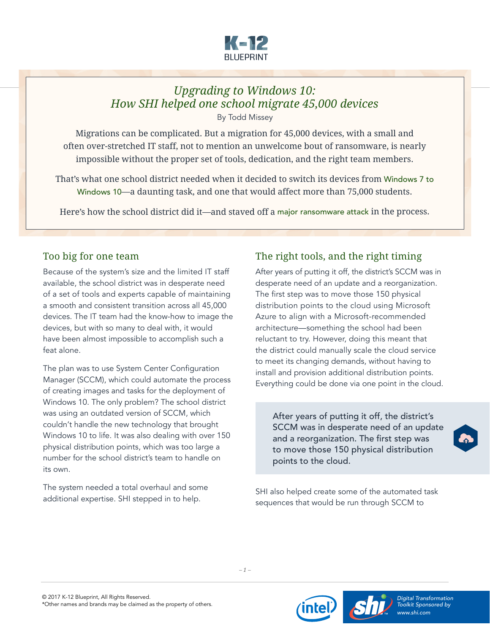

## *Upgrading to Windows 10: How SHI helped one school migrate 45,000 devices*

By Todd Missey

Migrations can be complicated. But a migration for 45,000 devices, with a small and often over-stretched IT staff, not to mention an unwelcome bout of ransomware, is nearly impossible without the proper set of tools, dedication, and the right team members.

That's what one school district needed when it decided to switch its devices from [Windows 7 to](https://blog.shi.com/software/answering-the-7-most-common-questions-about-windows-10-deployment/#.WW-4mITyuUk)  [Windows 10](https://blog.shi.com/software/answering-the-7-most-common-questions-about-windows-10-deployment/#.WW-4mITyuUk)—a daunting task, and one that would affect more than 75,000 students.

Here's how the school district did it—and staved off a [major ransomware attack](https://blog.shi.com/solutions/ransomware-101-protect/#.WW-414TyuUk) in the process.

## Too big for one team

Because of the system's size and the limited IT staff available, the school district was in desperate need of a set of tools and experts capable of maintaining a smooth and consistent transition across all 45,000 devices. The IT team had the know-how to image the devices, but with so many to deal with, it would have been almost impossible to accomplish such a feat alone.

The plan was to use System Center Configuration Manager (SCCM), which could automate the process of creating images and tasks for the deployment of Windows 10. The only problem? The school district was using an outdated version of SCCM, which couldn't handle the new technology that brought Windows 10 to life. It was also dealing with over 150 physical distribution points, which was too large a number for the school district's team to handle on its own.

The system needed a total overhaul and some additional expertise. SHI stepped in to help.

## The right tools, and the right timing

After years of putting it off, the district's SCCM was in desperate need of an update and a reorganization. The first step was to move those 150 physical distribution points to the cloud using Microsoft Azure to align with a Microsoft-recommended architecture—something the school had been reluctant to try. However, doing this meant that the district could manually scale the cloud service to meet its changing demands, without having to install and provision additional distribution points. Everything could be done via one point in the cloud.

After years of putting it off, the district's SCCM was in desperate need of an update and a reorganization. The first step was to move those 150 physical distribution points to the cloud.

SHI also helped create some of the automated task sequences that would be run through SCCM to